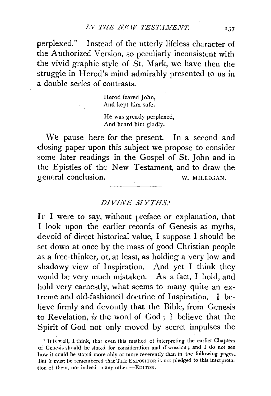perplexed." Instead of the utterly lifeless character of the Authorized Version, so peculiarly inconsistent with the vivid graphic style of St. Mark, we have then the struggle in Herod's mind admirably presented to us in a double series of contrasts.

> Herod feared John, And kept him safe.

He was greatly perplexed, And heard him gladly.

We pause here for the present. In a second and closing paper upon this subject we propose to consider some later readings in the Gospel of St. John and in the Epistles of the New Testament, and to draw the general conclusion. W. MILLIGAN.

# *DIVINE MYTHS.'*

IF I were to say, without preface or explanation, that I look upon the earlier records of Genesis as myths, devoid of direct historical value, I suppose I should be set down at once by the mass of good Christian people as a free-thinker, or, at least, as holding a very low and shadowy view of Inspiration. And yet I think they would be very much mistaken. As a fact, I hold, and hold very earnestly, what seems to many quite an extreme and old-fashioned doctrine of Inspiration. I believe firmly and devoutly that the Bible, from Genesis to Revelation, *is* the word of God ; I believe that the Spirit of God not only moved by secret impulses the

<sup>&#</sup>x27; It is well, I think, that even this method of interpreting the earlier Chapters of Genesis should be stated for consideration and discussion; and I do not see how it could be stated more ably or more reverently than in the following pages. But it must be remembered that THE EXPOSITOR is not pledged to this interpretation of them, nor indeed to any other.-EDITOR.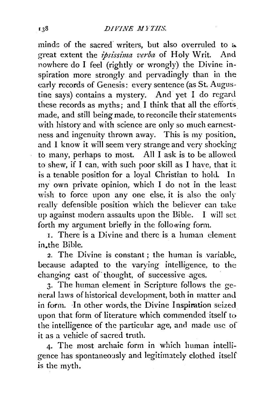minds of the sacred writers, but also overruled to  $\alpha$ great extent the *ipsissima verba* of Holy Writ. And nowhere do I feel (rightly or wrongly) the Divine inspiration more strongly and pervadingly than in the early records of Genesis: every sentence (as St. Augustine says) contains a mystery. And yet I do regard these records as myths; and I think that all the efforts made, and still being made, to reconcile their statements with history and with science are only so much earnestness and ingenuity thrown away. This is my position, and I know it will seem very strange and very shocking to many, perhaps to most. All I ask is to be allowed to shew, if I can, with such poor skill as I have, that it is a tenable position for a loyal Christian to hold. In my own private opinion, which I do not in the least wish to force upon any one else, it is also the only really defensible position which the believer can take up against modern assaults upon the Bible. I will set forth my argument briefly in the following form.

I. There is a Divine and there is a human element in.the Bible.

2. The Divine is constant; the human is variable. because adapted to the varying intelligence, to the changing cast of thought, of successive ages.

3· The human element in Scripture follows the general laws of historical development, both in matter and in form. In other words, the Divine Inspiration seized upon that form of literature which commended itself to the intelligence of the particular age, and made use of it as a vehicle of sacred truth.

4· The most archaic form in which human intelligence has spontaneously and legitimately clothed itself is the myth.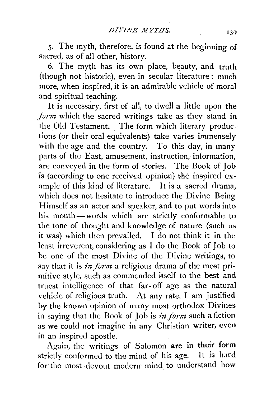5· The myth, therefore, is found at the beginning of sacred, as of all other, history.

6. The myth has its own place, beauty, and truth (though not historic), even in secular literature: much more, when inspired, it is an admirable vehicle of moral and spiritual teaching.

It is necessary, first of all, to dwell a little upon the *Jorm* which the sacred writings take as they stand in the Old Testament. The form which literary productions (or their oral equivalents) take varies immensely with the age and the country. To this day, in many parts of the East, amusement, instruction, information, are conveyed in the form of stories. The Book of Job is (according to one received opinion) the inspired example of this kind of literature. It is a sacred drama, which does not hesitate to introduce the Divine Being Himself as an actor and speaker, and to put words into his mouth-words which are strictly conformable to the tone of thought and knowledge of nature (such as it was) which then prevailed. I do not think it in the least irreverent, considering as I do the Book of Job to be one of the most Divine of the Divine writings, to say that it is *in form* a religious drama of the most primitive style, such as commended itself to the best and truest intelligence of that far- off age as the natural vehicle of religious truth. At any rate, I am justified by the known opinion of many most orthodox Divines in saying that the Book of Job is *in form* such a fiction as we couid not imagine in any Christian writer, even in an inspired apostle.

Again, the writings of Solomon are in their form strictly conformed to the mind of his age. It is hard for the most ·devout modern mind to understand how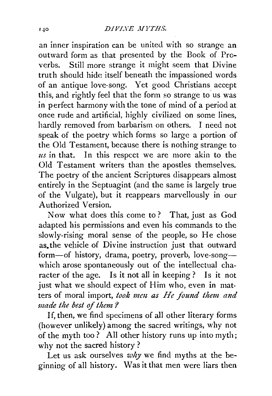an inner inspiration can be united with so strange an outward form as that presented by the Book of Proverbs. Still more strange it might seem that Divine truth should hide itself beneath the impassioned words of an antique love-song. Yet good Christians accept this, and rightly feel that the form so strange to us was in perfect harmony with the tone of mind of a period at once rude and artificial, highly civilized on some lines, hardly removed from barbarism on others. I need not speak of the poetry which forms so large a portion of the Old Testament, because there is nothing strange to *us* in that. In this respect we are more akin to the Old Testament writers than the apostles themselves. The poetry of the ancient Scriptures disappears almost entirely in the Septuagint (and the same is largely true of the Vulgate), but it reappears marvellously in our Authorized Version.

Now what does this come to? That, just as God adapted his permissions and even his commands to the slowly-rising moral sense of the people, so He chose as. the vehicle of Divine instruction just that outward form-of history, drama, poetry, proverb, love-songwhich arose spontaneously out of the intellectual character of the age. Is it not all in keeping? Is it not just what we should expect of Him who, even in matters of moral import, took men as He found them and *made the best of them ?* 

If, then, we find specimens of all other literary forms (however unlikely) among the sacred writings, why not of the myth too ? All other history runs up into myth; why not the sacred history ?

Let us ask ourselves *why* we find myths at the beginning of all history. Was it that men were liars then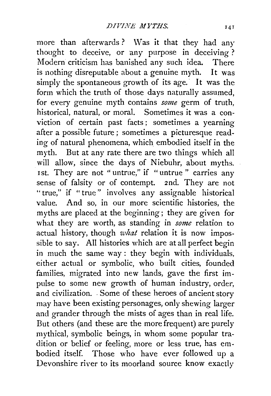more than afterwards? Was it that they had any thought to deceive, or any purpose in deceiving? Modern criticism has banished any such idea. There is nothing disreputable about a genuine myth. It was simply the spontaneous growth of its age. It was the form which the truth of those days naturally assumed, for every genuine myth contains *some* germ of truth, historical, natural, or moral. Sometimes it was a con~ viction of certain past facts ; sometimes a yearning after a possible future ; sometimes a picturesque reading of natural phenomena, which embodied itself in the myth. But at any rate there are two things which all will allow, since the days of Niebuhr, about myths. Ist. They are not " untrue," if " untrue " carries any sense of falsity or of contempt. 2nd. They are not "true," if "true" involves any assignable historical value. And so, in our more scientific histories, the myths are placed at the beginning; they are given for what they are worth, as standing in *some* relation to actual history, though *what* relation it is now impossible to say. All histories which are at all perfect begin in much the same way : they begin with individuals, either actual or symbolic, who built cities, founded families, migrated into new lands, gave the first impulse to some new growth of human industry, order, and civilization. . Some of these heroes of ancient story may have been existing personages, only shewing larger and grander through the mists of ages than in real life. But others (and these are the more frequent) are purely mythical, symbolic beings, in whom some popular tradition or belief or feeling, more or less true, has embodied itself. Those who have ever followed up a Devonshire river to its moorland source know exactly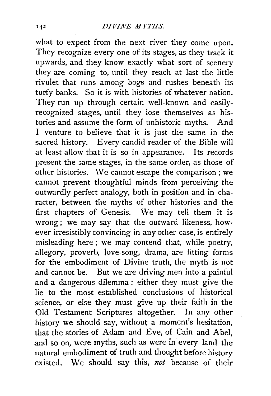what to expect from the next river they come upon. They recognize every one of its stages, as they track it upwards, and they know exactly what sort of scenery they are coming to, until they reach at last the little rivulet that runs among bogs and rushes beneath its turfy banks. So it is with histories of whatever nation. They run up through certain well-known and easilyrecognized stages, until they lose themselves as histories and assume the form of unhistoric myths. And I venture to believe that it is just the same in the sacred history. Every candid reader of the Bible will at least allow that it is so in appearance. Its records present the same stages, in the same order, as those of other histories. We cannot escape the comparison ; we cannot prevent thoughtful minds from perceiving the outwardly perfect analogy, both in position and in character, between the myths of other histories and the first chapters of Genesis. We may tell them it is wrong; we may say that the outward likeness, however irresistibly convincing in any other case, is entirely misleading here; we may contend that, while poetry, allegory, proverb, love-song, drama, are fitting forms for the embodiment of Divine truth, the myth is not and cannot be. But we are driving men into a painful and a dangerous dilemma: either they must give the lie to the most established conclusions of historical science, or else they must give up their faith in the Old Testament Scriptures altogether. In any other history we should say, without a moment's hesitation, that the stories of Adam and Eve, of Cain and Abel, and so on, were myths, such as were in every land the natural embodiment of truth and thought before history existed. We should say this, *not* because of their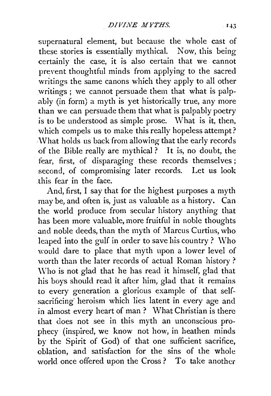supernatural element, but because the whole cast of these stories is essentially mythical. Now, this being certainly the case, it is also certain that we cannot preyent thoughtful minds from applying to the sacred writings the same canons which they apply to all other writings ; we cannot persuade them that what is palpably (in form) a myth is yet historically true, any more than we can persuade them that what is palpably poetry is to be understood as simple prose. What is it, then, which compels us to make this really hopeless attempt? .\Vhat holds us back from allowing that the early records of the Bible really are mythical? It is, no doubt, the fear, first, of disparaging these records themselves; second, of compromising later records. Let us look this fear in the face.

And, first, I say that for the highest purposes a myth may be, and often is, just as valuable as a history. Can the world produce from secular history anything that has been more valuable, more fruitful in noble thoughts and noble deeds, than the myth of Marcus Curtius, who leaped into the gulf in order to save his country? Who would dare to place that myth upon a lower level of worth than the later records of actual Roman history ? \ Vho is not glad that he has read it himself, glad that his boys should read it after him, glad that it remains to every generation a glorious example of that selfsacrificing heroism which lies latent in every age and in almost every heart of man ? What Christian is there that does not see in this myth an unconscious prophecy (inspired, we know not how, in heathen minds by the Spirit of God) of that one sufficient sacrifice, oblation, and satisfaction for the sins of the whole world once offered upon the Cross? To take another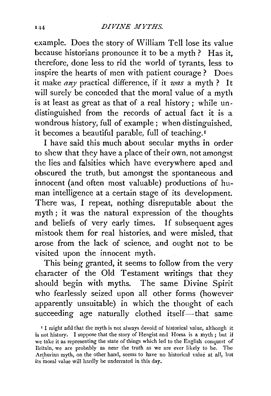example. Does the story of William Tell lose its value because historians pronounce it to be a myth ? Has it. therefore, done less to rid the world of tyrants, less to inspire the hearts of men with patient courage ? Does it make *any* practical difference, if it *was* a myth? It will surely be conceded that the moral value of a myth is at least as great as that of a real history; while undistinguished from the records of actual fact it is a wondrous history, full of example ; when distinguished, it becomes a beautiful parable, full of teaching. 1

I have said this much about secular myths in order to shew that they have a place of their own, not amongst the lies and falsities which have everywhere aped and obscured the truth, but amongst the spontaneous and innocent (and often most valuable) productions of human intelligence at a certain stage of its development. There was, I repeat, nothing disreputable about the myth ; it was the natural expression of the thoughts and beliefs of very early times. If subsequent ages mistook them for real histories, and were misled, that arose from the lack of science, and ought not to be visited upon the innocent myth.

This being granted, it seems to follow from the very character of the Old Testament writings that they should begin with myths. The same Divine Spirit who fearlessly seized upon all other forms (however apparently unsuitable) in which the thought of each succeeding age naturally clothed itself-that same

<sup>I</sup> I might add that the myth is not always devoid of historical value, although it is not history. I suppose that the story of Hengist and Horsa is a myth ; but if we take it as representing the state of things which led to the English conquest of Britain, we are probably as near the truth as we are ever likely to be. The Arthurian myth, on the other hand, seems to have no historical value at all, but its moral value will hardly be underrated in this day.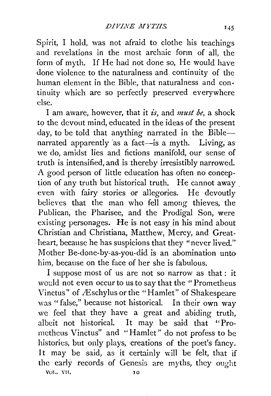Spirit, I hold, was not afraid to clothe his teachings and revelations in the most archaic form of ail, the form of myth. If He had not done so, He would have done violence to the naturalness and continuity of the human element in the Bible, that naturalness and continuity which are so perfectly preserved everywhere else.

I am aware, however, that it *is,* and *must be,* a shock to the devout mind, educated in the ideas of the present day, to be told that anything narrated in the Biblenarrated apparently as a fact-is a myth. Living, as we do, amidst lies and fictions manifold, our sense of truth is intensified, and is thereby irresistibly narrowed. A good person of little education has often no conception of any truth but historical truth. He cannot away . even with fairy stories or ailegories. He devoutly believes that the man who fell among thieves, the Publican, the Pharisee, and the Prodigal Son, were existing personages. He is not easy in his mind about Christian and Christiana, Matthew, Mercy, and Great- . heart, because he has suspicions that they "never lived." Mother Be-done-by-as-you-did is an abomination unto him, because on the face of her she is fabulous.

I suppose most of us are not so narrow as that : it would not even occur to us to say that the "Prometheus Vinctus" of Æschylus or the "Hamlet" of Shakespeare was "false," because not historical. In their own way we feel that they have a great and abiding truth, albeit not historical. It may be said that ''Promctheus Vinctus" and "Hamlet" do not profess to be histories, but only plays, creations of the poet's fancy. It may be said, as it certainly will be felt, that if the early records of Genesis are myths, they ought voL. vu. JO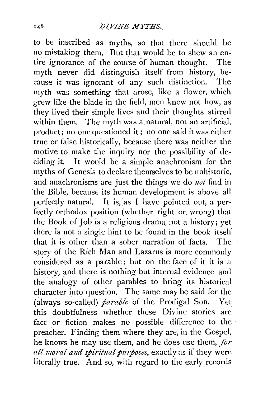## *DIVINE MYTHS.*

to be inscribed as myths, so \_that there should be no mistaking them. But that would be to shew an entire ignorance of the course of human thought. The myth never did distinguish itself from history, be cause it was ignorant of any such distinction. The myth was something that arose, like a flower, which grew like the blade in the field, men knew not how, as they lived their simple lives and their thoughts stirred within them. The myth was a natural, not an artificial, product; no one questioned it; no one said it was either true or false historically, because there was neither the motive to make the inquiry nor the possibility of deciding it. It would be a simple anachronism for the myths of Genesis to declare themselves to be unhistoric, and anachronisms are just the things we do *not* find in the Bible, because its human development is above all perfectly natural. It is, as I have pointed out, a perfectly orthodox position (whether right or. wrong) that the Book of Job is a religious drama, not a history; yet there is not a single hint to be found in the book itself that it is other than a sober narration of facts. The story of the Rich Man and Lazarus is more commonly considered as a parable ; but on the face of it it is a history, and there is nothing but internal evidence and the anaiogy of other parables to bring its historical character into question. The same may be said for the (always so-called) *parable* of the Prodigal Son. Yet this doubtfulness whether these Divine stories are fact or fiction makes no possible difference to the preacher. Finding them where they are, in the Gospel, he knows he may use them, and he does use them, *for all moral and spiritual purposes, exactly as if they were* literally true. And so, with regard to the early records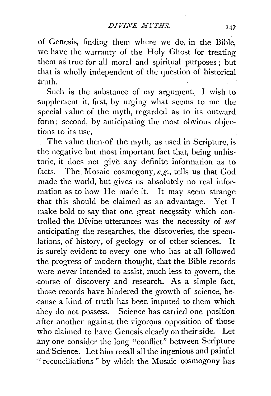of Genesis, finding them where we do, in the Bible, we have the warranty of the Holy Ghost for treating them as true for all moral and spiritual purposes ; but that is wholly independent of the question of historical truth.

Such is the substance of my argument. I wish to supplement it, first, by urging what seems to me the special value of the myth, regarded as to its outward form ; second, by anticipating the most obvious objections to its use.

The value then of the myth, as used in Scripture, is the negative but most important fact that, being unhistoric, it does not give any definite information as to facts. The Mosaic cosmogony, *e.g.,* tells us that God made the world, but gives us absolutely no real information as to how He made it. It may seem strange that this should be claimed as an advantage. Yet I make bold to say that one great necessity which controlled the Divine utterances was the necessity of *uot*  .anticipating the researches, the discoveries, the speculations, of history, of geology or of other sciences. It is surely evident to every one who has at all followed the progress of modern thought, that the Bible records were never intended to assist, much less to govern, the course of discovery and research. As a simple fact, those records have hindered the growth of science, because a kind of truth has been imputed to them which .they do not possess. Science has carried one position .after another against the vigorous opposition of those who claimed to have Genesis clearly on their side. Let .any one consider the long "conflict" between Scripture and Science. Let him recall all the ingenious and painful " reconciliations " by which the Mosaic cosmogony has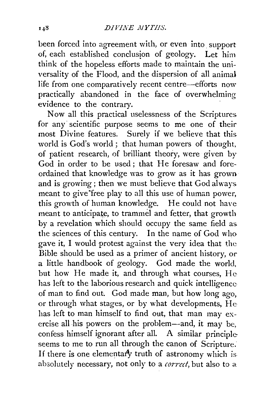been forced into agreement with, or even into support of, each established conclusion of geology. Let him think of the hopeless efforts made to maintain the universality of the Flood, and the dispersion of all animal life from one comparatively recent centre-efforts now practically abandoned in the face of overwhelming evidence to the contrary.

Now all this practical uselessness of the Scriptures. for any· scientific purpose seems to me one of their most Divine features. Surely if we believe that this. world is God's world ; that human powers of thought, of patient research, of brilliant theory, were given by God in order to be used; that He foresaw and foreordained that knowledge was to grow as it has grown and is growing; then we must believe that God always. meant to give "free play to all this use of human power, this growth of human knowledge. He could not have meant to anticipate, to trammel and fetter, that growth by a revelation which should occupy the same field as. the sciences of this century. In the name of God who gave it, I would protest against the very idea that the Bible should be used as a primer of ancient history, or a little handbook of geology. God made the world, but how He made it, and through what courses, He has left to the laborious research and quick intelligence of man to find out. God made man, but how long ago, or through what stages, or by what developments, He has left to man himself to find out, that man may exercise all his powers on the problem--and, it may be, confess himself ignorant after all. A similar principleseems to me to run all through the canon of Scripture. If there is one elementary truth of astronomy which is absolutely necessary, not only to a *correct,* but also *to* a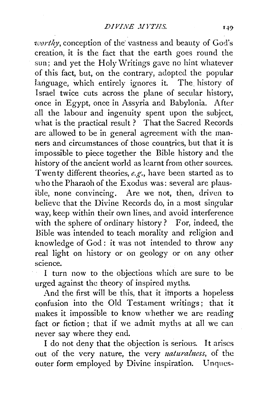*rworthy*, conception of the vastness and beauty of God's creation, it is the fact that the earth goes round the sun; and yet the Holy Writings gave no hint whatever of this fact, but, on the contrary, adopted the popular language, which entirely ignores it. The history of Israel twice cuts across the plane of secular history, once in Egypt, once in Assyria and Babylonia. After all the labour and ingenuity spent upon the subject, what is the practical result ? That the Sacred Records are allowed to be in general agreement with the manners and circumstances of those countries, but that it is impossible to piece together the Bible history and the history of the ancient world as learnt from other sources. Twenty different theories, *e.g.,* have been started as to who the Pharaoh of the Exodus was: several are plausible, none convincing. Are we not, then, driven to believe that the Divine Records do, in a most singular way, keep within their own lines, and avoid interference with the sphere of ordinary history? For, indeed, the Bible was intended to teach morality and religion and knowledge of God: it was not intended to throw any real light on history or on geology or on any other science.

I turn now to the objections which are sure to be urged against the theory of inspired myths.

And the first will be this, that it imports a hopeless confusion into the Old Testament writings ; that it makes it impossible to know whether we are reading fact or fiction ; that if we admit myths at all we can never say where they end.

I do not deny that the objection is serious. It arises out of the very nature, the very *naturalness*, of the outer form employed by Divine inspiration. Unqucs-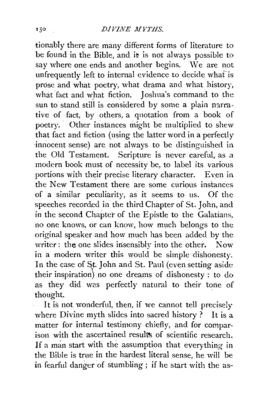## 150 *DIVINE MYTHS.*

tionably there are many different forms of literature to be found in the Bible, and it is not always possible to say where one ends and another begins. We are not unfrequently left to internal evidence to decide whaf is prose and what poetry, what drama and what history, what fact and what fiction. Ioshua's command to the sun to stand still is considered by some a plain narrative of fact, by others, a quotation from a book of poetry. Other instances might be multiplied to shew that fact and fiction (using the latter word in a perfectly innocent sense) are not always to be distinguished in the Old Testament. Scripture is never careful, as a modern book must of necessity be, to label its various portions with their precise literary character. Even in the New Testament there are some curious instances of a similar peculiarity, as it seems to us. Of the speeches recorded in the third Chapter of St. John, and in the second Chapter of the Epistle to the Galatians, no one knows, or can know, how much belongs to the original speaker and how much has been added by the writer: the one slides insensibly into the other. Now in a modern writer this would be simple dishonesty. In the case of St. John and St. Paul (even setting aside their inspiration) no one dreams of dishonesty : to do as they did was perfectly natural to their tone of thought.

It is not wonderful, then, if we cannot tell precisely where Divine myth slides into sacred history *?* It is a matter for internal testimony chiefly, and for comparison with the ascertained results of scientific research. If a man start with the assumption that everything in the Bible is true in the hardest literal sense, he will be in fearful danger of stumbling; if he start with the as-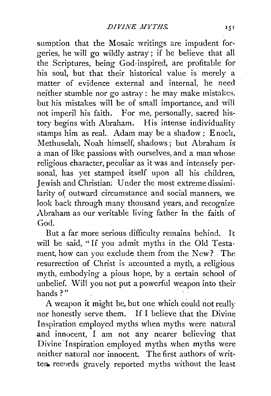sumption that the Mosaic writings are impudent forgeries, he will go wildly astray; if he believe that all the Scriptures, being God-inspired, are profitable for his soul, but that their historical value is merely a matter of evidence external and internal, he need neither stumble nor go astray: he may make mistakes, but his mistakes will be of small importance, and will not imperil his faith. For me, personally, sacred history begins with Abraham. His intense individuality stamps him as real. Adam may be a shadow; Enocli, Methuselah, Noah himself, shadows; but Abraham is a man of like passions with ourselves, and a man whose religious character, peculiar as it was and intensely personal, has yet stamped itself upon all his children, Jewish and Christian: Under the most extreme dissimilarity of outward circumstance and social manners, we look back through many thousand years, and recognize Abraham as our veritable living father in the faith of God.

But a far. more serious difficulty remains behind. It will be said, "If you admit myths in the Old Testament, how can you exclude them from the New? The resurrection of Christ is accounted a myth, a religious myth, embodying a pious hope, by a certain school of unbelief. Will you not put a powerful weapon into their hands?" ·

A weapon it might be, but one which could not really nor honestly serve them. If I believe that the Divine Inspiration employed myths when myths were natural and innocent, I am not any nearer believing that Divine Inspiration employed myths when myths were neither natural nor innocent. The first authors of written. records gravely reported myths without the least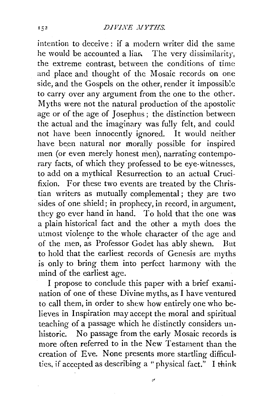#### *DIVINE JIYTHS.*

intention to deceive: if a modern writer did the same he would be accounted a liar. The very dissimilarity, the extreme contrast, between the conditions of time and place and thought of the Mosaic records on one side, and the Gospels on the other, render it impossible to carry over any argument from the one to the other. Myths were not the natural production of the apostolic age or of the age of Josephus ; the distinction between the actual and the imaginary was fully felt, and could not have been innocently ignored. It would neither have been natural nor morally possible for inspired men (or even merely honest men), narrating contemporary facts, of which they professed to be eye-witnesses, to add on a mythical Resurrection to an actual Crucifixion. For these two events are treated by the Christian writers as mutually complemental; they are two sides of one shield; in prophecy, in record, in argument, they go ever hand in hand. To hold that the one was a plain historical fact and the other a myth does the utmost violence to the whole character of the age and of the men, as Professor Godet has ably shewn. But to hold that the earliest records of Genesis are myths is only to bring them into perfect harmony with the mind of the earliest age.

I propose to conclude this paper with a brief examination of one of these Divine myths, as I have ventured to call them, in order to shew how entirely one who believes in Inspiration may accept the moral and spiritual teaching of a passage which he distinctly considers unhistoric. No passage from the early Mosaic records is more often referred to in the New Testament than the creation of Eve. None presents more startling difficulties, if accepted as describing a "physical fact." I think

ë,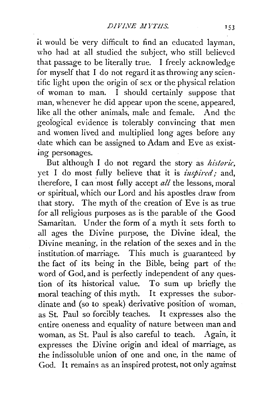it would be very difficult to find an educated layman, who had at all studied the subject, who still believed that passage to be literally true. I freely acknowledge for myself that I do not regard it as throwing any scientific light upon the origin of sex or the physical relation of woman to man. I should certainly suppose that man, whenever he did appear upon the scene, appeared, like all the other animals, male and female. And the geological evidence is tolerably convincing that men and women lived and multiplied long ages before any date which can be assigned to Adam and Eve as exist*ing personages.* 

But although I do not regard the story as *historic,*  yet I do most fully believe that it is *inspired*; and, therefore, I can most fully accept  $all$  the lessons, moral or spiritual, which our Lord and his apostles draw from that story. The myth of the creation of Eve is as true for all religious purposes as is the parable of the Good Samaritan. Under the form of a myth it sets forth to all ages the Divine purpose, the Divine ideal, the Divine meaning, in the relation of the sexes and in the institution. of marriage. This much is guaranteed by the fact of its being in the Bible, being part of the word of God, and is perfectly independent of any question of its historical value. To sum up briefly the moral teaching of this myth. It expresses the subordinate and (so to speak) derivative position of woman, as St. Paul so forcibly teaches. It expresses also the entire oneness and equality of nature between man and woman, as St. Paul is also careful to teach. Again, it expresses the Divine origin and ideal of marriage, as the indissoluble union of one and one, in the name of God. It remains as an inspired protest, not only against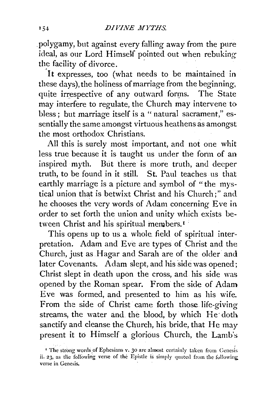. polygamy, but against every falling away from the pure ideal, as our Lord Himself pointed out when rebuking the facility of divorce.

'It expresses, too (what needs to be maintained in these days), the holiness of marriage from the beginning, quite irrespective of any outward forms. The State may interfere to regulate, the Church may intervene to bless ; but marriage itself is a " natural sacrament," essentially the same amongst virtuous heathens as amongst the most orthodox Christians.

All this is surely most important, and not one whit less true because it is taught us under the form of an inspired myth. But there is more truth, and deeper truth, to be found in it still. St. Paul teaches us that earthly marriage is a picture and symbol of "the mystical union that is betwixt Christ and his Church;" and he chooses the very words of Adam concerning Eve in order to set forth the union and unity which exists between Christ and his spiritual members.<sup>1</sup>

This opens up to us a whole. field of spiritual interpretation. Adam and Eve are types of Christ and the Church, just as .Hagar and Sarah are of the older and later Covenants. Adam slept, and his side was opened; Christ slept in death upon the cross, and. his side was opened by the Roman spear. From the side of Adam Eve was formed, and presented to him as his wife. From the side of Christ came forth those life-giving streams, the water and the blood, by which He doth sanctify and cleanse the Church, his bride, that He may present it to Himself a glorious Church, the Lamb's

<sup>&</sup>lt;sup>1</sup> The strong words of Ephesians v. 30 are almost certainly taken from Genesis ii. 23, as the following verse of the Epistle is simply quoted from the following verse in Genesis.